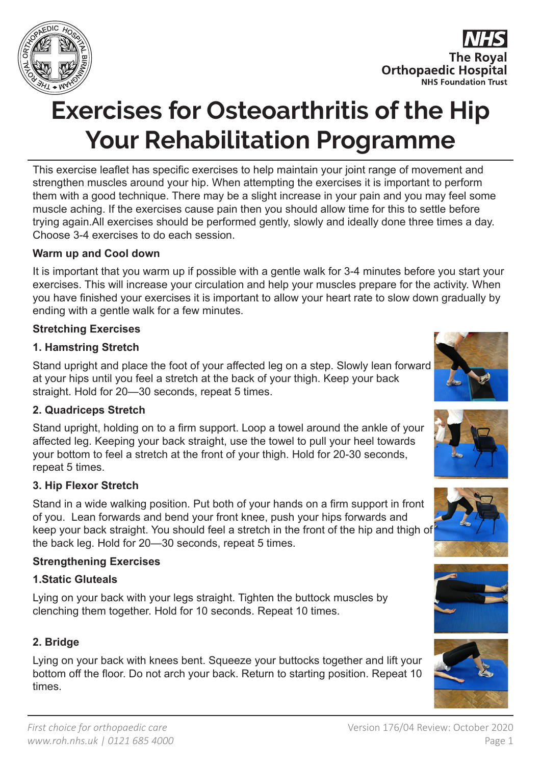

**The Royal Orthopaedic Hospital NHS Foundation Trust** 

# **Exercises for Osteoarthritis of the Hip Your Rehabilitation Programme**

This exercise leaflet has specific exercises to help maintain your joint range of movement and strengthen muscles around your hip. When attempting the exercises it is important to perform them with a good technique. There may be a slight increase in your pain and you may feel some muscle aching. If the exercises cause pain then you should allow time for this to settle before trying again.All exercises should be performed gently, slowly and ideally done three times a day. Choose 3-4 exercises to do each session.

### **Warm up and Cool down**

It is important that you warm up if possible with a gentle walk for 3-4 minutes before you start your exercises. This will increase your circulation and help your muscles prepare for the activity. When you have finished your exercises it is important to allow your heart rate to slow down gradually by ending with a gentle walk for a few minutes.

### **Stretching Exercises**

### **1. Hamstring Stretch**

Stand upright and place the foot of your affected leg on a step. Slowly lean forward at your hips until you feel a stretch at the back of your thigh. Keep your back straight. Hold for 20—30 seconds, repeat 5 times.

### **2. Quadriceps Stretch**

Stand upright, holding on to a firm support. Loop a towel around the ankle of your affected leg. Keeping your back straight, use the towel to pull your heel towards your bottom to feel a stretch at the front of your thigh. Hold for 20-30 seconds, repeat 5 times.

### **3. Hip Flexor Stretch**

Stand in a wide walking position. Put both of your hands on a firm support in front of you. Lean forwards and bend your front knee, push your hips forwards and keep your back straight. You should feel a stretch in the front of the hip and thigh of the back leg. Hold for 20—30 seconds, repeat 5 times.

### **Strengthening Exercises**

### **1.Static Gluteals**

Lying on your back with your legs straight. Tighten the buttock muscles by clenching them together. Hold for 10 seconds. Repeat 10 times.

### **2. Bridge**

Lying on your back with knees bent. Squeeze your buttocks together and lift your bottom off the floor. Do not arch your back. Return to starting position. Repeat 10 times.